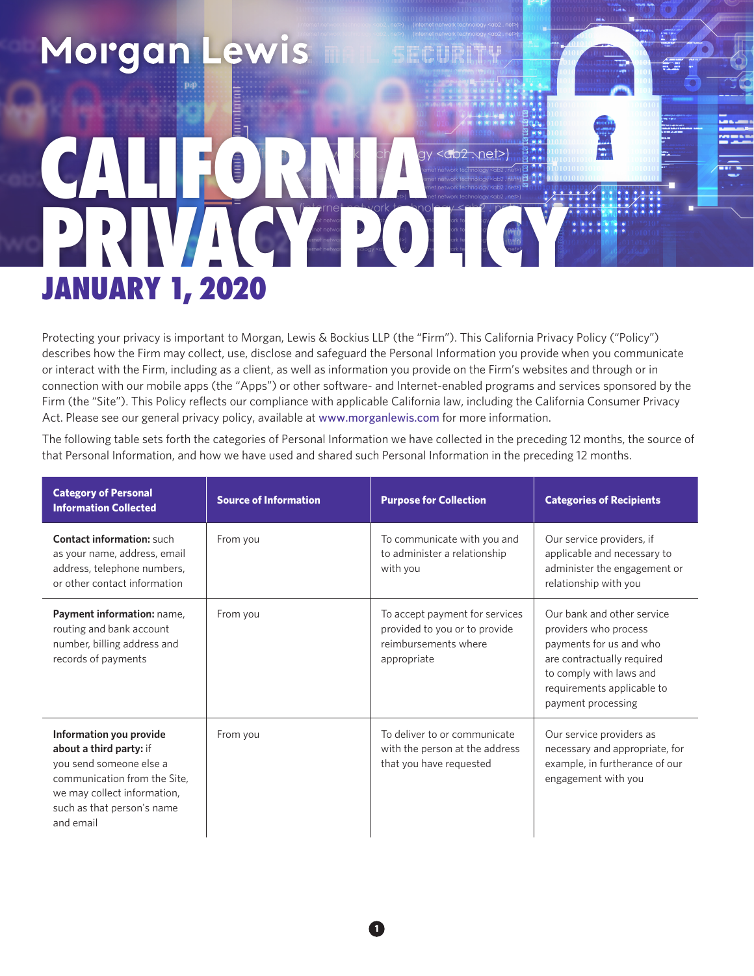## Morgan L e CALIFORNIA et network and by ork the start of the start of the start of the start of the start of the start of the start of the start of the start of the start of the start of the start of the start of the start of the start of the s JANUARY 1, 2020

Protecting your privacy is important to Morgan, Lewis & Bockius LLP (the "Firm"). This California Privacy Policy ("Policy") describes how the Firm may collect, use, disclose and safeguard the Personal Information you provide when you communicate or interact with the Firm, including as a client, as well as information you provide on the Firm's websites and through or in connection with our mobile apps (the "Apps") or other software- and Internet-enabled programs and services sponsored by the Firm (the "Site"). This Policy reflects our compliance with applicable California law, including the California Consumer Privacy Act. Please see our general privacy policy, available at www.morganlewis.com for more information.

The following table sets forth the categories of Personal Information we have collected in the preceding 12 months, the source of that Personal Information, and how we have used and shared such Personal Information in the preceding 12 months.

| <b>Category of Personal</b><br><b>Information Collected</b>                                                                                                                             | <b>Source of Information</b> | <b>Purpose for Collection</b>                                                                          | <b>Categories of Recipients</b>                                                                                                                                                             |
|-----------------------------------------------------------------------------------------------------------------------------------------------------------------------------------------|------------------------------|--------------------------------------------------------------------------------------------------------|---------------------------------------------------------------------------------------------------------------------------------------------------------------------------------------------|
| <b>Contact information: such</b><br>as your name, address, email<br>address, telephone numbers,<br>or other contact information                                                         | From you                     | To communicate with you and<br>to administer a relationship<br>with you                                | Our service providers, if<br>applicable and necessary to<br>administer the engagement or<br>relationship with you                                                                           |
| Payment information: name,<br>routing and bank account<br>number, billing address and<br>records of payments                                                                            | From you                     | To accept payment for services<br>provided to you or to provide<br>reimbursements where<br>appropriate | Our bank and other service<br>providers who process<br>payments for us and who<br>are contractually required<br>to comply with laws and<br>requirements applicable to<br>payment processing |
| Information you provide<br>about a third party: if<br>you send someone else a<br>communication from the Site,<br>we may collect information,<br>such as that person's name<br>and email | From you                     | To deliver to or communicate<br>with the person at the address<br>that you have requested              | Our service providers as<br>necessary and appropriate, for<br>example, in furtherance of our<br>engagement with you                                                                         |

**1**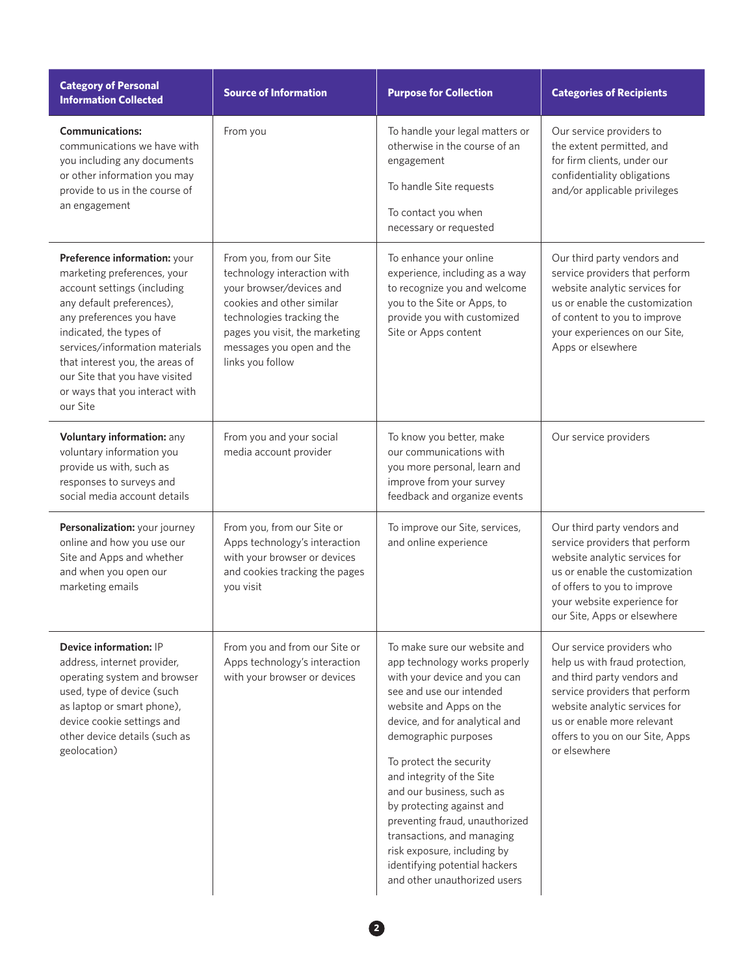| <b>Category of Personal</b><br><b>Information Collected</b>                                                                                                                                                                                                                                                                         | <b>Source of Information</b>                                                                                                                                                                                                    | <b>Purpose for Collection</b>                                                                                                                                                                                                                                                                                                                                                                                                                                                                    | <b>Categories of Recipients</b>                                                                                                                                                                                                                |
|-------------------------------------------------------------------------------------------------------------------------------------------------------------------------------------------------------------------------------------------------------------------------------------------------------------------------------------|---------------------------------------------------------------------------------------------------------------------------------------------------------------------------------------------------------------------------------|--------------------------------------------------------------------------------------------------------------------------------------------------------------------------------------------------------------------------------------------------------------------------------------------------------------------------------------------------------------------------------------------------------------------------------------------------------------------------------------------------|------------------------------------------------------------------------------------------------------------------------------------------------------------------------------------------------------------------------------------------------|
| <b>Communications:</b><br>communications we have with<br>you including any documents<br>or other information you may<br>provide to us in the course of<br>an engagement                                                                                                                                                             | From you                                                                                                                                                                                                                        | To handle your legal matters or<br>otherwise in the course of an<br>engagement<br>To handle Site requests<br>To contact you when<br>necessary or requested                                                                                                                                                                                                                                                                                                                                       | Our service providers to<br>the extent permitted, and<br>for firm clients, under our<br>confidentiality obligations<br>and/or applicable privileges                                                                                            |
| Preference information: your<br>marketing preferences, your<br>account settings (including<br>any default preferences),<br>any preferences you have<br>indicated, the types of<br>services/information materials<br>that interest you, the areas of<br>our Site that you have visited<br>or ways that you interact with<br>our Site | From you, from our Site<br>technology interaction with<br>your browser/devices and<br>cookies and other similar<br>technologies tracking the<br>pages you visit, the marketing<br>messages you open and the<br>links you follow | To enhance your online<br>experience, including as a way<br>to recognize you and welcome<br>you to the Site or Apps, to<br>provide you with customized<br>Site or Apps content                                                                                                                                                                                                                                                                                                                   | Our third party vendors and<br>service providers that perform<br>website analytic services for<br>us or enable the customization<br>of content to you to improve<br>your experiences on our Site,<br>Apps or elsewhere                         |
| Voluntary information: any<br>voluntary information you<br>provide us with, such as<br>responses to surveys and<br>social media account details                                                                                                                                                                                     | From you and your social<br>media account provider                                                                                                                                                                              | To know you better, make<br>our communications with<br>you more personal, learn and<br>improve from your survey<br>feedback and organize events                                                                                                                                                                                                                                                                                                                                                  | Our service providers                                                                                                                                                                                                                          |
| Personalization: your journey<br>online and how you use our<br>Site and Apps and whether<br>and when you open our<br>marketing emails                                                                                                                                                                                               | From you, from our Site or<br>Apps technology's interaction<br>with your browser or devices<br>and cookies tracking the pages<br>you visit                                                                                      | To improve our Site, services,<br>and online experience                                                                                                                                                                                                                                                                                                                                                                                                                                          | Our third party vendors and<br>service providers that perform<br>website analytic services for<br>us or enable the customization<br>of offers to you to improve<br>your website experience for<br>our Site, Apps or elsewhere                  |
| Device information: IP<br>address, internet provider,<br>operating system and browser<br>used, type of device (such<br>as laptop or smart phone),<br>device cookie settings and<br>other device details (such as<br>geolocation)                                                                                                    | From you and from our Site or<br>Apps technology's interaction<br>with your browser or devices                                                                                                                                  | To make sure our website and<br>app technology works properly<br>with your device and you can<br>see and use our intended<br>website and Apps on the<br>device, and for analytical and<br>demographic purposes<br>To protect the security<br>and integrity of the Site<br>and our business, such as<br>by protecting against and<br>preventing fraud, unauthorized<br>transactions, and managing<br>risk exposure, including by<br>identifying potential hackers<br>and other unauthorized users | Our service providers who<br>help us with fraud protection,<br>and third party vendors and<br>service providers that perform<br>website analytic services for<br>us or enable more relevant<br>offers to you on our Site, Apps<br>or elsewhere |